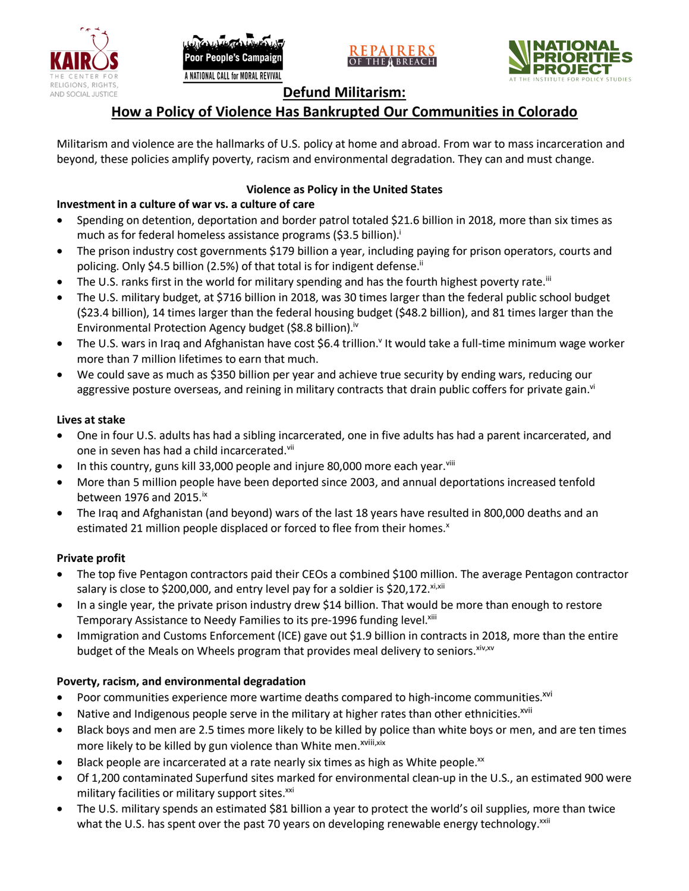







## **Defund Militarism:**

## **How a Policy of Violence Has Bankrupted Our Communities in Colorado**

Militarism and violence are the hallmarks of U.S. policy at home and abroad. From war to mass incarceration and beyond, these policies amplify poverty, racism and environmental degradation. They can and must change.

#### **Violence as Policy in the United States**

### **Investment in a culture of war vs. a culture of care**

- Spending on detention, deportation and border patrol totaled \$21.6 billion in 2018, more than six times as much as for federal homeless assistance programs (\$3.5 billion).<sup>i</sup>
- The prison industry cost governments \$179 billion a year, including paying for prison operators, courts and policing. Only \$4.5 billion (2.5%) of that total is for indigent defense.<sup>ii</sup>
- The U.S. ranks first in the world for military spending and has the fourth highest poverty rate.<sup>iii</sup>
- The U.S. military budget, at \$716 billion in 2018, was 30 times larger than the federal public school budget (\$23.4 billion), 14 times larger than the federal housing budget (\$48.2 billion), and 81 times larger than the Environmental Protection Agency budget (\$8.8 billion).<sup>iv</sup>
- The U.S. wars in Iraq and Afghanistan have cost \$6.4 trillion.<sup>v</sup> It would take a full-time minimum wage worker more than 7 million lifetimes to earn that much.
- We could save as much as \$350 billion per year and achieve true security by ending wars, reducing our aggressive posture overseas, and reining in military contracts that drain public coffers for private gain.<sup>vi</sup>

#### **Lives at stake**

- One in four U.S. adults has had a sibling incarcerated, one in five adults has had a parent incarcerated, and one in seven has had a child incarcerated.vii
- In this country, guns kill 33,000 people and injure 80,000 more each year. $v_{\text{lin}}$
- More than 5 million people have been deported since 2003, and annual deportations increased tenfold between 1976 and 2015. $\mathrm{i}$ <sup>x</sup>
- The Iraq and Afghanistan (and beyond) wars of the last 18 years have resulted in 800,000 deaths and an estimated 21 million people displaced or forced to flee from their homes.<sup>x</sup>

#### **Private profit**

- The top five Pentagon contractors paid their CEOs a combined \$100 million. The average Pentagon contractor salary is close to \$200,000, and entry level pay for a soldier is \$20,172. xi,xii
- In a single year, the private prison industry drew \$14 billion. That would be more than enough to restore Temporary Assistance to Needy Families to its pre-1996 funding level.<sup>xiii</sup>
- Immigration and Customs Enforcement (ICE) gave out \$1.9 billion in contracts in 2018, more than the entire budget of the Meals on Wheels program that provides meal delivery to seniors. Xiv, XV

#### **Poverty, racism, and environmental degradation**

- Poor communities experience more wartime deaths compared to high-income communities.<sup>xvi</sup>
- Native and Indigenous people serve in the military at higher rates than other ethnicities.<sup>xvii</sup>
- Black boys and men are 2.5 times more likely to be killed by police than white boys or men, and are ten times more likely to be killed by gun violence than White men.<sup>xviii,xix</sup>
- Black people are incarcerated at a rate nearly six times as high as White people.<sup>xx</sup>
- Of 1,200 contaminated Superfund sites marked for environmental clean-up in the U.S., an estimated 900 were military facilities or military support sites.<sup>xxi</sup>
- The U.S. military spends an estimated \$81 billion a year to protect the world's oil supplies, more than twice what the U.S. has spent over the past 70 years on developing renewable energy technology.<sup>xxii</sup>